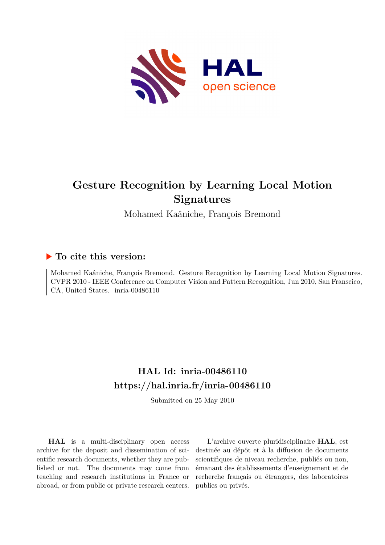<span id="page-0-0"></span>

# **Gesture Recognition by Learning Local Motion Signatures**

Mohamed Kaâniche, François Bremond

# **To cite this version:**

Mohamed Kaâniche, François Bremond. Gesture Recognition by Learning Local Motion Signatures. CVPR 2010 - IEEE Conference on Computer Vision and Pattern Recognition, Jun 2010, San Franscico, CA, United States. inria-00486110

# **HAL Id: inria-00486110 <https://hal.inria.fr/inria-00486110>**

Submitted on 25 May 2010

**HAL** is a multi-disciplinary open access archive for the deposit and dissemination of scientific research documents, whether they are published or not. The documents may come from teaching and research institutions in France or abroad, or from public or private research centers.

L'archive ouverte pluridisciplinaire **HAL**, est destinée au dépôt et à la diffusion de documents scientifiques de niveau recherche, publiés ou non, émanant des établissements d'enseignement et de recherche français ou étrangers, des laboratoires publics ou privés.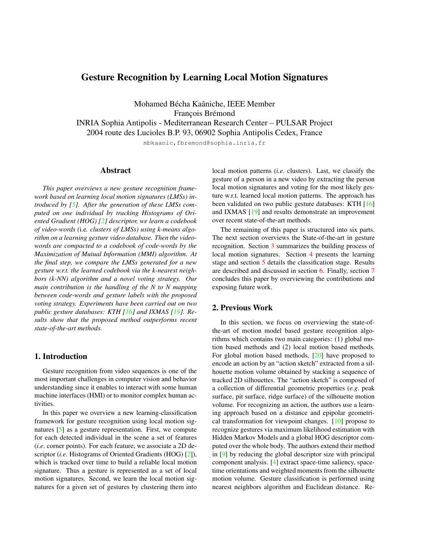# Gesture Recognition by Learning Local Motion Signatures

Mohamed Bécha Kaâniche, IEEE Member François Brémond

INRIA Sophia Antipolis - Mediterranean Research Center – PULSAR Project

2004 route des Lucioles B.P. 93, 06902 Sophia Antipolis Cedex, France

mbkaanic,fbremond@sophia.inria.fr

#### Abstract

*This paper overviews a new gesture recognition framework based on learning local motion signatures (LMSs) introduced by [5]. After the generation of these LMSs computed on one individual by tracking Histograms of Oriented Gradient (HOG) [2] descriptor, we learn a codebook of video-words (*i.e*. clusters of LMSs) using k-means algorithm on a learning gesture video database. Then the videowords are compacted to a codebook of code-words by the Maximization of Mutual Information (MMI) algorithm. At the final step, we compare the LMSs generated for a new gesture w.r.t. the learned codebook via the k-nearest neighbors (k-NN) algorithm and a novel voting strategy. Our main contribution is the handling of the N to N mapping between code-words and gesture labels with the proposed voting strategy. Experiments have been carried out on two public gesture databases: KTH [16] and IXMAS [19]. Results show that the proposed method outperforms recent state-of-the-art methods.*

## 1. Introduction

Gesture recognition from video sequences is one of the most important challenges in computer vision and behavior understanding since it enables to interact with some human machine interfaces (HMI) or to monitor complex human activities.

In this paper we overview a new learning-classification framework for gesture recognition using local motion signatures [5] as a gesture representation. First, we compute for each detected individual in the scene a set of features (*i.e*. corner points). For each feature, we associate a 2D descriptor (*i.e*. Histograms of Oriented Gradients (HOG) [2]), which is tracked over time to build a reliable local motion signature. Thus a gesture is represented as a set of local motion signatures. Second, we learn the local motion signatures for a given set of gestures by clustering them into local motion patterns (*i.e*. clusters). Last, we classify the gesture of a person in a new video by extracting the person local motion signatures and voting for the most likely gesture w.r.t. learned local motion patterns. The approach has been validated on two public gesture databases: KTH [16] and IXMAS [19] and results demonstrate an improvement over recent state-of-the-art methods.

The remaining of this paper is structured into six parts. The next section overviews the State-of-the-art in gesture recognition. Section 3 summarizes the building process of local motion signatures. Section 4 presents the learning stage and section 5 details the classification stage. Results are described and discussed in section 6. Finally, section 7 concludes this paper by overviewing the contributions and exposing future work.

#### 2. Previous Work

In this section, we focus on overviewing the state-ofthe-art of motion model based gesture recognition algorithms which contains two main categories: (1) global motion based methods and (2) local motion based methods. For global motion based methods, [20] have proposed to encode an action by an "action sketch" extracted from a silhouette motion volume obtained by stacking a sequence of tracked 2D silhouettes. The "action sketch" is composed of a collection of differential geometric properties (*e.g*. peak surface, pit surface, ridge surface) of the silhouette motion volume. For recognizing an action, the authors use a learning approach based on a distance and epipolar geometrical transformation for viewpoint changes. [10] propose to recognize gestures via maximum likelihood estimation with Hidden Markov Models and a global HOG descriptor computed over the whole body. The authors extend their method in [9] by reducing the global descriptor size with principal component analysis. [4] extract space-time saliency, spacetime orientations and weighted moments from the silhouette motion volume. Gesture classification is performed using nearest neighbors algorithm and Euclidean distance. Re-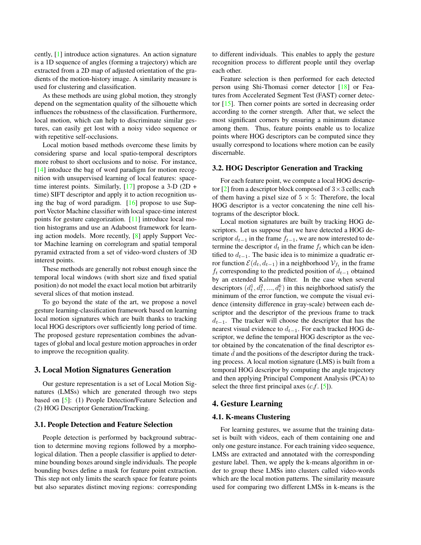cently, [1] introduce action signatures. An action signature is a 1D sequence of angles (forming a trajectory) which are extracted from a 2D map of adjusted orientation of the gradients of the motion-history image. A similarity measure is used for clustering and classification.

As these methods are using global motion, they strongly depend on the segmentation quality of the silhouette which influences the robustness of the classification. Furthermore, local motion, which can help to discriminate similar gestures, can easily get lost with a noisy video sequence or with repetitive self-occlusions.

Local motion based methods overcome these limits by considering sparse and local spatio-temporal descriptors more robust to short occlusions and to noise. For instance, [14] intoduce the bag of word paradigm for motion recognition with unsupervised learning of local features: spacetime interest points. Similarly,  $[17]$  propose a 3-D (2D + time) SIFT descriptor and apply it to action recognition using the bag of word paradigm. [16] propose to use Support Vector Machine classifier with local space-time interest points for gesture categorization. [11] introduce local motion histograms and use an Adaboost framework for learning action models. More recently, [8] apply Support Vector Machine learning on correlogram and spatial temporal pyramid extracted from a set of video-word clusters of 3D interest points.

These methods are generally not robust enough since the temporal local windows (with short size and fixed spatial position) do not model the exact local motion but arbitrarily several slices of that motion instead.

To go beyond the state of the art, we propose a novel gesture learning-classification framework based on learning local motion signatures which are built thanks to tracking local HOG descriptors over sufficiently long period of time. The proposed gesture representation combines the advantages of global and local gesture motion approaches in order to improve the recognition quality.

#### 3. Local Motion Signatures Generation

Our gesture representation is a set of Local Motion Signatures (LMSs) which are generated through two steps based on [5]: (1) People Detection/Feature Selection and (2) HOG Descriptor Generation/Tracking.

#### 3.1. People Detection and Feature Selection

People detection is performed by background subtraction to determine moving regions followed by a morphological dilation. Then a people classifier is applied to determine bounding boxes around single individuals. The people bounding boxes define a mask for feature point extraction. This step not only limits the search space for feature points but also separates distinct moving regions: corresponding to different individuals. This enables to apply the gesture recognition process to different people until they overlap each other.

Feature selection is then performed for each detected person using Shi-Thomasi corner detector [18] or Features from Accelerated Segment Test (FAST) corner detector [15]. Then corner points are sorted in decreasing order according to the corner strength. After that, we select the most significant corners by ensuring a minimum distance among them. Thus, feature points enable us to localize points where HOG descriptors can be computed since they usually correspond to locations where motion can be easily discernable.

#### 3.2. HOG Descriptor Generation and Tracking

For each feature point, we compute a local HOG descriptor [2] from a descriptor block composed of  $3 \times 3$  cells; each of them having a pixel size of  $5 \times 5$ : Therefore, the local HOG descriptor is a vector concatening the nine cell histograms of the descriptor block.

Local motion signatures are built by tracking HOG descriptors. Let us suppose that we have detected a HOG descriptor  $d_{t-1}$  in the frame  $f_{t-1}$ , we are now interested to determine the descriptor  $d_t$  in the frame  $f_t$  which can be identified to  $d_{t-1}$ . The basic idea is to minimize a quadratic error function  $\mathcal{E}(d_t, d_{t-1})$  in a neighborhood  $\mathcal{V}_{f_t}$  in the frame  $f_t$  corresponding to the predicted position of  $d_{t-1}$  obtained by an extended Kalman filter. In the case when several descriptors  $(d_t^1, d_t^2, ..., d_t^k)$  in this neighborhood satisfy the minimum of the error function, we compute the visual evidence (intensity difference in gray-scale) between each descriptor and the descriptor of the previous frame to track  $d_{t-1}$ . The tracker will choose the descriptor that has the nearest visual evidence to  $d_{t-1}$ . For each tracked HOG descriptor, we define the temporal HOG descriptor as the vector obtained by the concatenation of the final descriptor estimate  $d$  and the positions of the descriptor during the tracking process. A local motion signature (LMS) is built from a temporal HOG descripor by computing the angle trajectory and then applying Principal Component Analysis (PCA) to select the three first principal axes (*c.f* . [5]).

### 4. Gesture Learning

#### 4.1. K-means Clustering

For learning gestures, we assume that the training dataset is built with videos, each of them containing one and only one gesture instance. For each training video sequence, LMSs are extracted and annotated with the corresponding gesture label. Then, we apply the k-means algorithm in order to group these LMSs into clusters called video-words which are the local motion patterns. The similarity measure used for comparing two different LMSs in k-means is the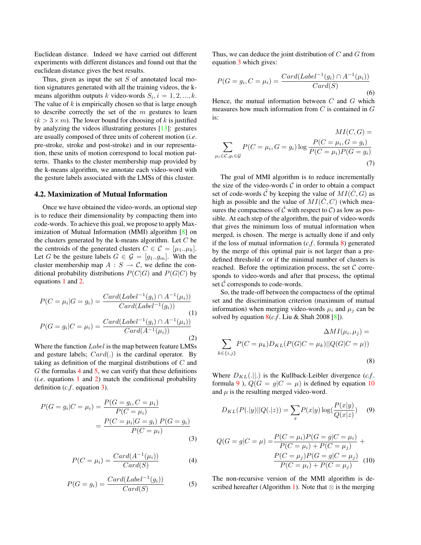Euclidean distance. Indeed we have carried out different experiments with different distances and found out that the euclidean distance gives the best results.

Thus, given as input the set  $S$  of annotated local motion signatures generated with all the training videos, the kmeans algorithm outputs k video-words  $S_i$ ,  $i = 1, 2, ..., k$ . The value of  $k$  is empirically chosen so that is large enough to describe correctly the set of the  $m$  gestures to learn  $(k > 3 \times m)$ . The lower bound for choosing of k is justified by analyzing the videos illustrating gestures [13]: gestures are usually composed of three units of coherent motion (*i.e*. pre-stroke, stroke and post-stroke) and in our representation, these units of motion correspond to local motion patterns. Thanks to the cluster membership map provided by the k-means algorithm, we annotate each video-word with the gesture labels associated with the LMSs of this cluster.

#### 4.2. Maximization of Mutual Information

Once we have obtained the video-words, an optional step is to reduce their dimensionality by compacting them into code-words. To achieve this goal, we propose to apply Maximization of Mutual Information (MMI) algorithm [8] on the clusters generated by the k-means algorithm. Let  $C$  be the centroids of the generated clusters  $C \in \mathcal{C} = [\mu_1..\mu_k].$ Let G be the gesture labels  $G \in \mathcal{G} = [g_1..g_m]$ . With the cluster membership map  $A : S \to C$ , we define the conditional probability distributions  $P(C|G)$  and  $P(G|C)$  by equations 1 and 2.

$$
P(C = \mu_i | G = g_i) = \frac{Card(Label^{-1}(g_i) \cap A^{-1}(\mu_i))}{Card(Label^{-1}(g_i))}
$$
\n
$$
P(G = g_i | C = \mu_i) = \frac{Card(Label^{-1}(g_i) \cap A^{-1}(\mu_i))}{Card(A^{-1}(\mu_i))}
$$
\n(2)

Where the function *Label* is the map between feature LMSs and gesture labels;  $Card(.)$  is the cardinal operator. By taking as definition of the marginal distributions of C and  $G$  the formulas 4 and 5, we can verify that these definitions (*i.e*. equations 1 and 2) match the conditional probability definition (*c.f* . equation 3).

$$
P(G = g_i | C = \mu_i) = \frac{P(G = g_i, C = \mu_i)}{P(C = \mu_i)} \\
= \frac{P(C = \mu_i | G = g_i) P(G = g_i)}{P(C = \mu_i)}
$$
\n(3)

$$
P(C = \mu_i) = \frac{Card(A^{-1}(\mu_i))}{Card(S)}
$$
(4)

$$
P(G = g_i) = \frac{Card(Label^{-1}(g_i))}{Card(S)}
$$
 (5)

Thus, we can deduce the joint distribution of  $C$  and  $G$  from equation 3 which gives:

$$
P(G = g_i, C = \mu_i) = \frac{Card(Label^{-1}(g_i) \cap A^{-1}(\mu_i))}{Card(S)}
$$
(6)

Hence, the mutual information between  $C$  and  $G$  which measures how much information from  $C$  is contained in  $G$ is:

$$
MI(C, G) = \sum_{\mu_i \in C, g_i \in G} P(C = \mu_i, G = g_i) \log \frac{P(C = \mu_i, G = g_i)}{P(C = \mu_i)P(G = g_i)}
$$
\n(7)

The goal of MMI algorithm is to reduce incrementally the size of the video-words  $C$  in order to obtain a compact set of code-words  $\hat{C}$  by keeping the value of  $MI(\hat{C}, G)$  as high as possible and the value of  $MI(\hat{C}, C)$  (which measures the compactness of  $\hat{C}$  with respect to  $\hat{C}$ ) as low as possible. At each step of the algorithm, the pair of video-words that gives the minimum loss of mutual information when merged, is chosen. The merge is actually done if and only if the loss of mutual information (*c.f* . formula 8) generated by the merge of this optimal pair is not larger than a predefined threshold  $\epsilon$  or if the minimal number of clusters is reached. Before the optimization process, the set  $C$  corresponds to video-words and after that process, the optimal set  $\hat{C}$  corresponds to code-words.

So, the trade-off between the compactness of the optimal set and the discrimination criterion (maximum of mutual information) when merging video-words  $\mu_i$  and  $\mu_j$  can be solved by equation  $8(c.f.$  Liu & Shah 2008 [8]).

$$
\Delta MI(\mu_i, \mu_j) =
$$
  

$$
\sum_{k \in \{i, j\}} P(C = \mu_k) D_{KL}(P(G|C = \mu_k) || Q(G|C = \mu))
$$
  
(8)

Where  $D_{KL}(.||.)$  is the Kullback-Leibler divergence (*c.f.* formula 9),  $Q(G = g | C = \mu)$  is defined by equation 10 and  $\mu$  is the resulting merged video-word.

$$
D_{KL}(P(.|y)||Q(.|z)) = \sum_{x} P(x|y) \log(\frac{P(x|y)}{Q(x|z)}) \quad (9)
$$

$$
Q(G = g|C = \mu) = \frac{P(C = \mu_i)P(G = g|C = \mu_i)}{P(C = \mu_i) + P(C = \mu_j)} + \frac{P(C = \mu_j)P(G = g|C = \mu_j)}{P(C = \mu_i) + P(C = \mu_j)}
$$
(10)

The non-recursive version of the MMI algorithm is described hereafter (Algorithm 1). Note that  $\otimes$  is the merging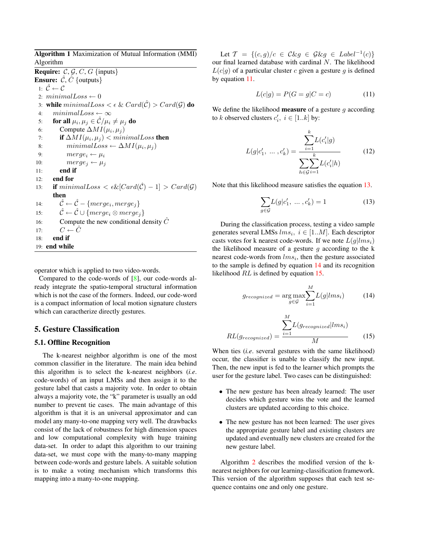Algorithm 1 Maximization of Mutual Information (MMI) Algorithm **Require:**  $C, G, C, G$  {inputs} **Ensure:**  $\hat{C}$ ,  $\hat{C}$  {outputs} 1:  $\hat{\mathcal{C}} \leftarrow \mathcal{C}$ 2:  $minimalLoss \leftarrow 0$ 3: while  $minimalLoss < \epsilon \& Card(\hat{C}) > Card(\mathcal{G})$  do 4:  $minimalLoss \leftarrow \infty$ 5: **for all**  $\mu_i, \mu_j \in \hat{\mathcal{C}}/\mu_i \neq \mu_j$  do 6: Compute  $\Delta MI(\mu_i, \mu_j)$ 7: **if**  $\Delta MI(\mu_i, \mu_j) < minimalLoss$  **then** 8:  $minimalLoss \leftarrow \Delta MI(\mu_i, \mu_j)$ 9:  $merge_i \leftarrow \mu_i$ 10:  $merge_j \leftarrow \mu_j$ 11: end if 12: end for 13: **if**  $minimalLoss < \epsilon \& [Card(\hat{C})-1] > Card(\mathcal{G})$ then 14:  $\hat{\mathcal{C}} \leftarrow \hat{\mathcal{C}} - \{merge_i,merge_j\}$ 15:  $\hat{\mathcal{C}} \leftarrow \hat{\mathcal{C}} \cup \{merge_i \otimes merge_i\}$ 16: Compute the new conditional density  $\hat{C}$ 17:  $C \leftarrow \hat{C}$ 18: end if 19: end while

operator which is applied to two video-words.

Compared to the code-words of [8], our code-words already integrate the spatio-temporal structural information which is not the case of the formers. Indeed, our code-word is a compact information of local motion signature clusters which can caractherize directly gestures.

#### 5. Gesture Classification

#### 5.1. Offline Recognition

The k-nearest neighbor algorithm is one of the most common classifier in the literature. The main idea behind this algorithm is to select the k-nearest neighbors (*i.e*. code-words) of an input LMSs and then assign it to the gesture label that casts a majority vote. In order to obtain always a majority vote, the "k" parameter is usually an odd number to prevent tie cases. The main advantage of this algorithm is that it is an universal approximator and can model any many-to-one mapping very well. The drawbacks consist of the lack of robustness for high dimension spaces and low computational complexity with huge training data-set. In order to adapt this algorithm to our training data-set, we must cope with the many-to-many mapping between code-words and gesture labels. A suitable solution is to make a voting mechanism which transforms this mapping into a many-to-one mapping.

Let  $\mathcal{T} = \{(c, g) / c \in \mathcal{C} \& g \in \mathcal{G} \& g \in \mathit{Label}^{-1}(c) \}$ our final learned database with cardinal N. The likelihood  $L(c|q)$  of a particular cluster c given a gesture q is defined by equation 11.

$$
L(c|g) = P(G = g|C = c)
$$
\n<sup>(11)</sup>

We define the likelihood **measure** of a gesture  $g$  according to k observed clusters  $c'_i$ ,  $i \in [1..k]$  by:

$$
L(g|c'_1, \ldots, c'_k) = \frac{\sum_{i=1}^k L(c'_i|g)}{\sum_{h \in \mathcal{G}} \sum_{i=1}^k L(c'_i|h)}
$$
(12)

Note that this likelihood measure satisfies the equation 13.

$$
\sum_{g \in \mathcal{G}} L(g|c'_1, \dots, c'_k) = 1 \tag{13}
$$

During the classification process, testing a video sample generates several LMSs  $lms_i, i \in [1..M]$ . Each descriptor casts votes for k nearest code-words. If we note  $L(g|lms_i)$ the likelihood measure of a gesture  $q$  according to the k nearest code-words from  $lms_i$ , then the gesture associated to the sample is defined by equation 14 and its recognition likelihood RL is defined by equation 15.

$$
g_{recognized} = \underset{g \in \mathcal{G}}{\arg \max} \sum_{i=1}^{M} L(g|lms_i)
$$
 (14)

$$
RL(g_{recognized}) = \frac{\sum_{i=1}^{M} L(g_{recognized}|lms_i)}{M}
$$
 (15)

When ties (*i.e*. several gestures with the same likelihood) occur, the classifier is unable to classify the new input. Then, the new input is fed to the learner which prompts the user for the gesture label. Two cases can be distinguished:

- The new gesture has been already learned: The user decides which gesture wins the vote and the learned clusters are updated according to this choice.
- The new gesture has not been learned: The user gives the appropriate gesture label and existing clusters are updated and eventually new clusters are created for the new gesture label.

Algorithm 2 describes the modified version of the knearest neighbors for our learning-classification framework. This version of the algorithm supposes that each test sequence contains one and only one gesture.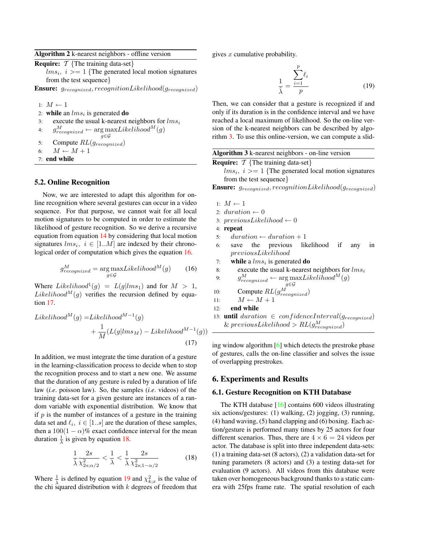Algorithm 2 k-nearest neighbors - offline version

| <b>Require:</b> $\mathcal{T}$ {The training data-set}                  |
|------------------------------------------------------------------------|
| $lms_i, i \geq 1$ {The generated local motion signatures               |
| from the test sequence $\}$                                            |
| <b>Ensure:</b> $g_{recognized}, recognitionLikelihood(g_{recognized})$ |

1:  $M \leftarrow 1$ 

2: while an  $lms_i$  is generated do

3: execute the usual k-nearest neighbors for  $lms_i$ 

```
4: g_{recognized}^M \leftarrow \arg\max_{g \in \mathcal{G}} Likelihood^M(g)
```
- 5: Compute  $RL(g_{recognized})$
- 6:  $M \leftarrow M + 1$
- 7: end while

#### 5.2. Online Recognition

Now, we are interested to adapt this algorithm for online recognition where several gestures can occur in a video sequence. For that purpose, we cannot wait for all local motion signatures to be computed in order to estimate the likelihood of gesture recognition. So we derive a recursive equation from equation 14 by considering that local motion signatures  $lms_i, i \in [1..M]$  are indexed by their chronological order of computation which gives the equation 16.

$$
g_{recognized}^{M} = \underset{g \in \mathcal{G}}{\arg \max} Likelihood^{M}(g)
$$
 (16)

Where  $Likelihood^1(g) = L(g|lms_1)$  and for  $M > 1$ , Likelihood<sup>M</sup>(g) verifies the recursion defined by equation 17.

$$
Likelihood^{M}(g) = Likelihood^{M-1}(g)
$$
  
+ 
$$
\frac{1}{M}(L(g|lms_{M}) - Likelihood^{M-1}(g))
$$
  
(17)

In addition, we must integrate the time duration of a gesture in the learning-classification process to decide when to stop the recognition process and to start a new one. We assume that the duration of any gesture is ruled by a duration of life law (*i.e*. poisson law). So, the samples (*i.e*. videos) of the training data-set for a given gesture are instances of a random variable with exponential distribution. We know that if  $p$  is the number of instances of a gesture in the training data set and  $\ell_i$ ,  $i \in [1..s]$  are the duration of these samples, then a  $100(1 - \alpha)\%$  exact confidence interval for the mean duration  $\frac{1}{\lambda}$  is given by equation 18.

$$
\frac{1}{\hat{\lambda}} \frac{2s}{\chi^2_{2s;\alpha/2}} < \frac{1}{\lambda} < \frac{1}{\hat{\lambda}} \frac{2s}{\chi^2_{2s;1-\alpha/2}} \tag{18}
$$

Where  $\frac{1}{\lambda}$  is defined by equation 19 and  $\chi^2_{k;x}$  is the value of the chi squared distribution with  $k$  degrees of freedom that gives  $x$  cumulative probability.

$$
\frac{1}{\hat{\lambda}} = \frac{\sum_{i=1}^{p} \ell_i}{p}
$$
 (19)

Then, we can consider that a gesture is recognized if and only if its duration is in the confidence interval and we have reached a local maximum of likelihood. So the on-line version of the k-nearest neighbors can be described by algorithm 3. To use this online-version, we can compute a slid-

| Algorithm 3 k-nearest neighbors - on-line version                      |  |  |  |  |  |  |  |  |
|------------------------------------------------------------------------|--|--|--|--|--|--|--|--|
| <b>Require:</b> $\mathcal{T}$ {The training data-set}                  |  |  |  |  |  |  |  |  |
| $lms_i$ , $i>=1$ {The generated local motion signatures                |  |  |  |  |  |  |  |  |
| from the test sequence }                                               |  |  |  |  |  |  |  |  |
| <b>Ensure:</b> $g_{recognized}, recognitionLikelihood(g_{recognized})$ |  |  |  |  |  |  |  |  |

```
1: M \leftarrow 1
```

```
2: duration \leftarrow 0
```
- 3:  $previousLikelihood \leftarrow 0$
- 4: repeat
- 5:  $duration \leftarrow duration + 1$
- 6: save the previous likelihood if any in previousLikelihood
- 7: while a  $lms_i$  is generated do
- 8: execute the usual k-nearest neighbors for  $lms_i$

```
9: g_{reogenized}^M \leftarrow \arg \max_{\mathbf{a}} Likelihood^M(g)
```
g∈G 10: Compute  $RL(g_{recognized}^M)$ 

- 11:  $M \leftarrow M + 1$
- 12: end while
- 13: **until** duration  $\in$  confidenceInterval( $g_{recognized}$ )  $\&$  previousLikelihood >  $RL(g_{recognized}^M)$

ing window algorithm [6] which detects the prestroke phase of gestures, calls the on-line classifier and solves the issue of overlapping prestrokes.

#### 6. Experiments and Results

#### 6.1. Gesture Recognition on KTH Database

The KTH database [16] contains 600 videos illustrating six actions/gestures: (1) walking, (2) jogging, (3) running, (4) hand waving, (5) hand clapping and (6) boxing. Each action/gesture is performed many times by 25 actors for four different scenarios. Thus, there are  $4 \times 6 = 24$  videos per actor. The database is split into three independent data-sets: (1) a training data-set (8 actors), (2) a validation data-set for tuning parameters (8 actors) and (3) a testing data-set for evaluation (9 actors). All videos from this database were taken over homogeneous background thanks to a static camera with 25fps frame rate. The spatial resolution of each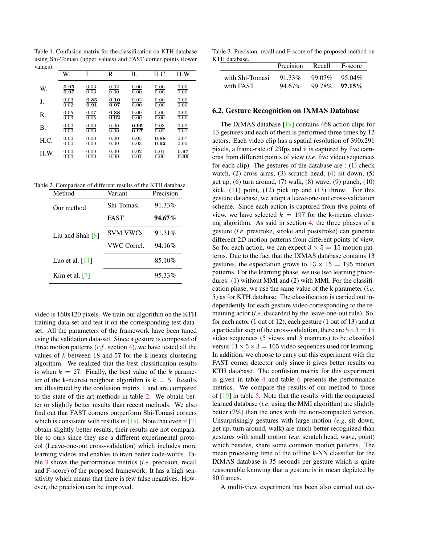Table 1. Confusion matrix for the classification on KTH database using Shi-Tomasi (upper values) and FAST corner points (lower values).

|      | W.   | J.   | R.   | В.   | H.C.              | H.W. |  |
|------|------|------|------|------|-------------------|------|--|
| W.   | 0.95 | 0.03 | 0.02 | 0.00 | 0.00              | 0.00 |  |
|      | 0.97 | 0.03 | 0.00 | 0.00 | 0.00              | 0.00 |  |
| J.   | 0.03 | 0.85 | 0.10 | 0.02 | 0.00              | 0.00 |  |
|      | 0.02 | 0.91 | 0.07 | 0.00 | 0.00              | 0.00 |  |
| R.   | 0.05 | 0.07 | 0.88 | 0.00 | 0.00              | 0.00 |  |
|      | 0.03 | 0.05 | 0.92 | 0.00 | 0.00              | 0.00 |  |
| В.   | 0.00 | 0.00 | 0.00 | 0.95 | 0.03              | 0.02 |  |
|      | 0.00 | 0.00 | 0.00 | 0.97 | $\overline{0.02}$ | 0.01 |  |
| H.C. | 0.00 | 0.00 | 0.00 | 0.05 | 0.88              | 0.07 |  |
|      | 0.00 | 0.00 | 0.00 | 0.03 | 0.92              | 0.05 |  |
| H.W. | 0.00 | 0.00 | 0.00 | 0.02 | 0.01              | 0.97 |  |
|      | 0.00 | 0.00 | 0.00 | 0.01 | 0.00              | 0.99 |  |

Table 2. Comparison of different results of the KTH database.

| Method            | Variant     | Precision |  |  |
|-------------------|-------------|-----------|--|--|
| Our method        | Shi-Tomasi  | 91.33%    |  |  |
|                   | <b>FAST</b> | $94.67\%$ |  |  |
| Liu and Shah [8]  | SVM VWCs    | 91.31%    |  |  |
|                   | VWC Correl. | 94.16%    |  |  |
| Luo et al. $[11]$ |             | 85.10%    |  |  |
| Kim et al. $[7]$  |             | 95.33%    |  |  |

video is 160x120 pixels. We train our algorithm on the KTH training data-set and test it on the corresponding test dataset. All the parameters of the framework have been tuned using the validation data-set. Since a gesture is composed of three motion patterns  $(c.f. \text{ section } 4)$ , we have tested all the values of  $k$  between 18 and 57 for the k-means clustering algorithm. We realized that the best classification results is when  $k = 27$ . Finally, the best value of the k parameter of the k-nearest neighbor algorithm is  $k = 5$ . Results are illustrated by the confusion matrix 1 and are compared to the state of the art methods in table 2. We obtain better or slightly better results than recent methods. We also find out that FAST corners outperform Shi-Tomasi corners which is consistent with results in  $[15]$ . Note that even if  $[7]$ obtain slightly better results, their results are not comparable to ours since they use a different experimental protocol (Leave-one-out cross-validation) which includes more learning videos and enables to train better code-words. Table 3 shows the performance metrics (*i.e*. precision, recall and F-score) of the proposed framework. It has a high sensitivity which means that there is few false negatives. However, the precision can be improved.

Table 3. Precision, recall and F-score of the proposed method on KTH database.

| 111 uauavase.   | Precision | Recall | F-score   |
|-----------------|-----------|--------|-----------|
| with Shi-Tomasi | 91.33%    | 99.07% | 95.04%    |
| with FAST       | 94.67%    | 99.78% | $97.15\%$ |

#### 6.2. Gesture Recognition on IXMAS Database

The IXMAS database [19] contains 468 action clips for 13 gestures and each of them is performed three times by 12 actors. Each video clip has a spatial resolution of 390x291 pixels, a frame-rate of 23fps and it is captured by five cameras from different points of view (*i.e*. five video sequences for each clip). The gestures of the database are : (1) check watch, (2) cross arms, (3) scratch head, (4) sit down, (5) get up, (6) turn around, (7) walk, (8) wave, (9) punch, (10) kick,  $(11)$  point,  $(12)$  pick up and  $(13)$  throw. For this gesture database, we adopt a leave-one-out cross-validation scheme. Since each action is captured from five points of view, we have selected  $k = 197$  for the k-means clustering algorithm. As said in section 4, the three phases of a gesture (*i.e*. prestroke, stroke and poststroke) can generate different 2D motion patterns from different points of view. So for each action, we can expect  $3 \times 5 = 15$  motion patterns. Due to the fact that the IXMAS database contains 13 gestures, the expectation grows to  $13 \times 15 = 195$  motion patterns. For the learning phase, we use two learning procedures: (1) without MMI and (2) with MMI. For the classification phase, we use the same value of the k parameter (*i.e*. 5) as for KTH database. The classification is carried out independently for each gesture video corresponding to the remaining actor (*i.e*. discarded by the leave-one-out rule). So, for each actor (1 out of 12), each gesture (1 out of 13) and at a particular step of the cross-validation, there are  $5 \times 3 = 15$ video sequences (5 views and 3 manners) to be classified versus  $11 \times 5 \times 3 = 165$  video sequences used for learning. In addition, we choose to carry out this experiment with the FAST corner detector only since it gives better results on KTH database. The confusion matrix for this experiment is given in table 4 and table 6 presents the performance metrics. We compare the results of our method to those of [19] in table 5. Note that the results with the compacted learned database (*i.e*. using the MMI algorithm) are slightly better (7%) than the ones with the non-compacted version. Unsurprisingly gestures with large motion (*e.g*. sit down, get up, turn around, walk) are much better recognized than gestures with small motion (*e.g*. scratch head, wave, point) which besides, share some common motion patterns. The mean processing time of the offline k-NN classifier for the IXMAS database is 35 seconds per gesture which is quite reasonnable knowing that a gesture is in mean depicted by 80 frames.

A multi-view experiment has been also carried out ex-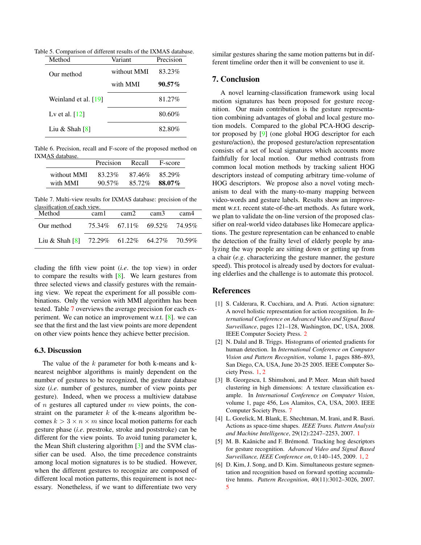Table 5. Comparison of different results of the IXMAS database.

| Method                 | Variant     | Precision |  |  |
|------------------------|-------------|-----------|--|--|
| Our method             | without MMI | 83.23%    |  |  |
|                        | with MMI    | $90.57\%$ |  |  |
| Weinland et al. $[19]$ |             | 81.27%    |  |  |
| Lv et al. $[12]$       |             | 80.60%    |  |  |
| Liu & Shah $[8]$       |             | 82.80%    |  |  |

Table 6. Precision, recall and F-score of the proposed method on IXMAS database.

|                         | Precision | Recall | F-score          |  |
|-------------------------|-----------|--------|------------------|--|
| without MMI<br>with MMI | 83.23%    | 87.46% | 85.29%<br>88.07% |  |
|                         | $90.57\%$ | 85.72% |                  |  |

Table 7. Multi-view results for IXMAS database: precision of the classification of each view.

| Method                                                                        | cam <sub>1</sub>                | cam2 | cam <sub>3</sub> | cam4 |
|-------------------------------------------------------------------------------|---------------------------------|------|------------------|------|
| Our method                                                                    | 75.34\% 67.11\% 69.52\% 74.95\% |      |                  |      |
| Liu & Shah $\begin{bmatrix} 8 \\ 1 \end{bmatrix}$ 72.29% 61.22% 64.27% 70.59% |                                 |      |                  |      |

cluding the fifth view point (*i.e*. the top view) in order to compare the results with [8]. We learn gestures from three selected views and classify gestures with the remaining view. We repeat the experiment for all possible combinations. Only the version with MMI algorithm has been tested. Table 7 overviews the average precision for each experiment. We can notice an improvement w.r.t. [8]. we can see that the first and the last view points are more dependent on other view points hence they achieve better precision.

#### 6.3. Discussion

The value of the  $k$  parameter for both k-means and knearest neighbor algorithms is mainly dependent on the number of gestures to be recognized, the gesture database size (*i.e*. number of gestures, number of view points per gesture). Indeed, when we process a multiview database of  $n$  gestures all captured under  $m$  view points, the constraint on the parameter  $k$  of the k-means algorithm becomes  $k > 3 \times n \times m$  since local motion patterns for each gesture phase (*i.e*. prestroke, stroke and poststroke) can be different for the view points. To avoid tuning parameter k, the Mean Shift clustering algorithm [3] and the SVM classifier can be used. Also, the time precedence constraints among local motion signatures is to be studied. However, when the different gestures to recognize are composed of different local motion patterns, this requirement is not necessary. Nonetheless, if we want to differentiate two very

similar gestures sharing the same motion patterns but in different timeline order then it will be convenient to use it.

# 7. Conclusion

A novel learning-classification framework using local motion signatures has been proposed for gesture recognition. Our main contribution is the gesture representation combining advantages of global and local gesture motion models. Compared to the global PCA-HOG descriptor proposed by [9] (one global HOG descriptor for each gesture/action), the proposed gesture/action representation consists of a set of local signatures which accounts more faithfully for local motion. Our method contrasts from common local motion methods by tracking salient HOG descriptors instead of computing arbitrary time-volume of HOG descriptors. We propose also a novel voting mechanism to deal with the many-to-many mapping between video-words and gesture labels. Results show an improvement w.r.t. recent state-of-the-art methods. As future work, we plan to validate the on-line version of the proposed classifier on real-world video databases like Homecare applications. The gesture representation can be enhanced to enable the detection of the frailty level of elderly people by analyzing the way people are sitting down or getting up from a chair (*e.g*. characterizing the gesture manner, the gesture speed). This protocol is already used by doctors for evaluating elderlies and the challenge is to automate this protocol.

### References

- [1] S. Calderara, R. Cucchiara, and A. Prati. Action signature: A novel holistic representation for action recognition. In *International Conference on Advanced Video and Signal Based Surveillance*, pages 121–128, Washington, DC, USA, 2008. IEEE Computer Society Press. 2
- [2] N. Dalal and B. Triggs. Histograms of oriented gradients for human detection. In *International Conference on Computer Vision and Pattern Recognition*, volume 1, pages 886–893, San Diego, CA, USA, June 20-25 2005. IEEE Computer Society Press. [1,](#page-0-0) 2
- [3] B. Georgescu, I. Shimshoni, and P. Meer. Mean shift based clustering in high dimensions: A texture classification example. In *International Conference on Computer Vision*, volume 1, page 456, Los Alamitos, CA, USA, 2003. IEEE Computer Society Press. 7
- [4] L. Gorelick, M. Blank, E. Shechtman, M. Irani, and R. Basri. Actions as space-time shapes. *IEEE Trans. Pattern Analysis and Machine Intelligence*, 29(12):2247–2253, 2007. [1](#page-0-0)
- [5] M. B. Kaâniche and F. Brémond. Tracking hog descriptors for gesture recognition. *Advanced Video and Signal Based Surveillance, IEEE Conference on*, 0:140–145, 2009. [1,](#page-0-0) 2
- [6] D. Kim, J. Song, and D. Kim. Simultaneous gesture segmentation and recognition based on forward spotting accumulative hmms. *Pattern Recognition*, 40(11):3012–3026, 2007. 5